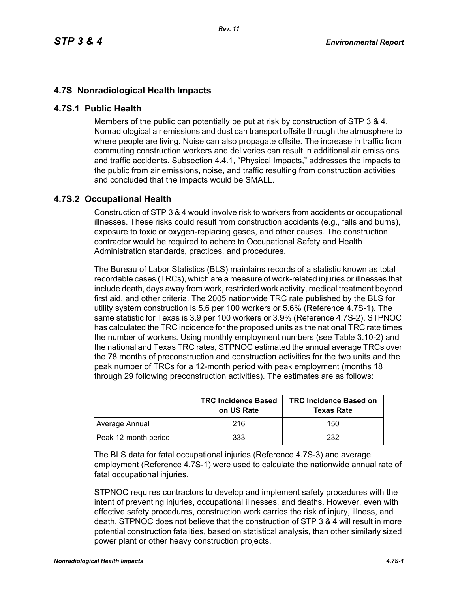## **4.7S Nonradiological Health Impacts**

## **4.7S.1 Public Health**

Members of the public can potentially be put at risk by construction of STP 3 & 4. Nonradiological air emissions and dust can transport offsite through the atmosphere to where people are living. Noise can also propagate offsite. The increase in traffic from commuting construction workers and deliveries can result in additional air emissions and traffic accidents. Subsection 4.4.1, "Physical Impacts," addresses the impacts to the public from air emissions, noise, and traffic resulting from construction activities and concluded that the impacts would be SMALL.

## **4.7S.2 Occupational Health**

Construction of STP 3 & 4 would involve risk to workers from accidents or occupational illnesses. These risks could result from construction accidents (e.g., falls and burns), exposure to toxic or oxygen-replacing gases, and other causes. The construction contractor would be required to adhere to Occupational Safety and Health Administration standards, practices, and procedures.

The Bureau of Labor Statistics (BLS) maintains records of a statistic known as total recordable cases (TRCs), which are a measure of work-related injuries or illnesses that include death, days away from work, restricted work activity, medical treatment beyond first aid, and other criteria. The 2005 nationwide TRC rate published by the BLS for utility system construction is 5.6 per 100 workers or 5.6% (Reference 4.7S-1). The same statistic for Texas is 3.9 per 100 workers or 3.9% (Reference 4.7S-2). STPNOC has calculated the TRC incidence for the proposed units as the national TRC rate times the number of workers. Using monthly employment numbers (see Table 3.10-2) and the national and Texas TRC rates, STPNOC estimated the annual average TRCs over the 78 months of preconstruction and construction activities for the two units and the peak number of TRCs for a 12-month period with peak employment (months 18 through 29 following preconstruction activities). The estimates are as follows:

|                      | <b>TRC Incidence Based</b><br>on US Rate | <b>TRC Incidence Based on</b><br><b>Texas Rate</b> |
|----------------------|------------------------------------------|----------------------------------------------------|
| Average Annual       | 216                                      | 150                                                |
| Peak 12-month period | 333                                      | 232                                                |

The BLS data for fatal occupational injuries (Reference 4.7S-3) and average employment (Reference 4.7S-1) were used to calculate the nationwide annual rate of fatal occupational injuries.

STPNOC requires contractors to develop and implement safety procedures with the intent of preventing injuries, occupational illnesses, and deaths. However, even with effective safety procedures, construction work carries the risk of injury, illness, and death. STPNOC does not believe that the construction of STP 3 & 4 will result in more potential construction fatalities, based on statistical analysis, than other similarly sized power plant or other heavy construction projects.